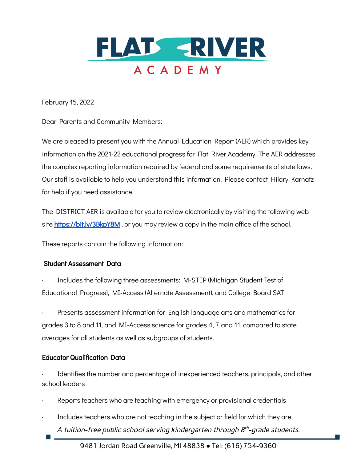

February 15, 2022

Dear Parents and Community Members:

We are pleased to present you with the Annual Education Report (AER) which provides key information on the 2021-22 educational progress for Flat River Academy. The AER addresses the complex reporting information required by federal and some requirements of state laws. Our staff is available to help you understand this information. Please contact Hilary Karnatz for help if you need assistance.

The DISTRICT AER is available for you to review electronically by visiting the following web site <https://bit.ly/3BkpY8M>, or you may review a copy in the main office of the school.

These reports contain the following information:

## Student Assessment Data

Includes the following three assessments: M-STEP (Michigan Student Test of Educational Progress), MI-Access (Alternate Assessment), and College Board SAT

Presents assessment information for English language arts and mathematics for grades 3 to 8 and 11, and MI-Access science for grades 4, 7, and 11, compared to state averages for all students as well as subgroups of students.

### Educator Qualification Data

**Tall** 

Identifies the number and percentage of inexperienced teachers, principals, and other school leaders

- Reports teachers who are teaching with emergency or provisional credentials
- · Includes teachers who are not teaching in the subject or field for which they are A tuition-free public school serving kindergarten through  $8^{th}$ -grade students.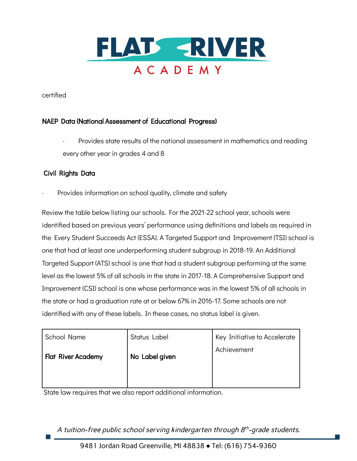

certified

## NAEP Data (National Assessment of Educational Progress)

Provides state results of the national assessment in mathematics and reading every other year in grades 4 and 8

## Civil Rights Data

Provides information on school quality, climate and safety

Review the table below listing our schools. For the 2021-22 school year, schools were identified based on previous years' performance using definitions and labels as required in the Every Student Succeeds Act (ESSA). A Targeted Support and Improvement (TSI) school is one that had at least one underperforming student subgroup in 2018-19. An Additional Targeted Support (ATS) school is one that had a student subgroup performing at the same level as the lowest 5% of all schools in the state in 2017-18. A Comprehensive Support and Improvement (CSI) school is one whose performance was in the lowest 5% of all schools in the state or had a graduation rate at or below 67% in 2016-17. Some schools are not identified with any of these labels. In these cases, no status label is given.

| School Name               | Key Initiative to Accelerate<br>Status Label |             |  |
|---------------------------|----------------------------------------------|-------------|--|
| <b>Flat River Academy</b> | No Label given                               | Achievement |  |
|                           |                                              |             |  |

State law requires that we also report additional information.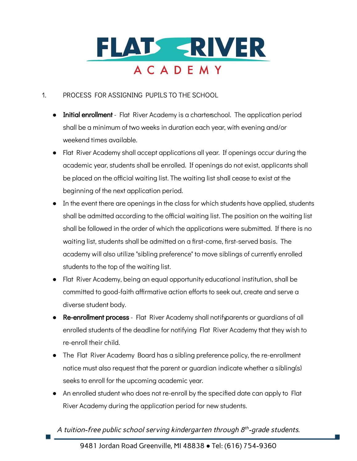

# 1. PROCESS FOR ASSIGNING PUPILS TO THE SCHOOL

- Initial enrollment Flat River Academy is a charterschool. The application period shall be a minimum of two weeks in duration each year, with evening and/or weekend times available.
- Flat River Academy shall accept applications all year. If openings occur during the academic year, students shall be enrolled. If openings do not exist, applicants shall be placed on the official waiting list. The waiting list shall cease to exist at the beginning of the next application period.
- In the event there are openings in the class for which students have applied, students shall be admitted according to the official waiting list. The position on the waiting list shall be followed in the order of which the applications were submitted. If there is no waiting list, students shall be admitted on a first-come, first-served basis. The academy will also utilize "sibling preference" to move siblings of currently enrolled students to the top of the waiting list.
- Flat River Academy, being an equal opportunity educational institution, shall be committed to good-faith affirmative action efforts to seek out, create and serve a diverse student body.
- Re-enrollment process Flat River Academy shall notifyparents or guardians of all enrolled students of the deadline for notifying Flat River Academy that they wish to re-enroll their child.
- The Flat River Academy Board has a sibling preference policy, the re-enrollment notice must also request that the parent or guardian indicate whether a sibling(s) seeks to enroll for the upcoming academic year.
- An enrolled student who does not re-enroll by the specified date can apply to Flat River Academy during the application period for new students.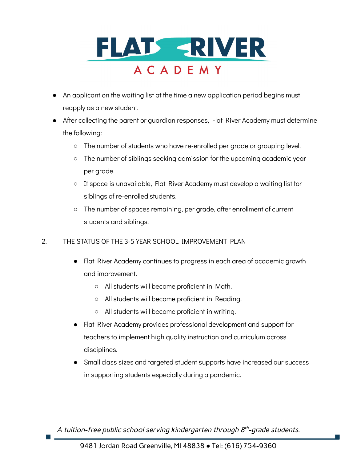

- An applicant on the waiting list at the time a new application period begins must reapply as a new student.
- After collecting the parent or guardian responses, Flat River Academy must determine the following:
	- The number of students who have re-enrolled per grade or grouping level.
	- The number of siblings seeking admission for the upcoming academic year per grade.
	- If space is unavailable, Flat River Academy must develop a waiting list for siblings of re-enrolled students.
	- The number of spaces remaining, per grade, after enrollment of current students and siblings.
- 2. THE STATUS OF THE 3-5 YEAR SCHOOL IMPROVEMENT PLAN
	- Flat River Academy continues to progress in each area of academic growth and improvement.
		- All students will become proficient in Math.
		- All students will become proficient in Reading.
		- All students will become proficient in writing.
	- Flat River Academy provides professional development and support for teachers to implement high quality instruction and curriculum across disciplines.
	- Small class sizes and targeted student supports have increased our success in supporting students especially during a pandemic.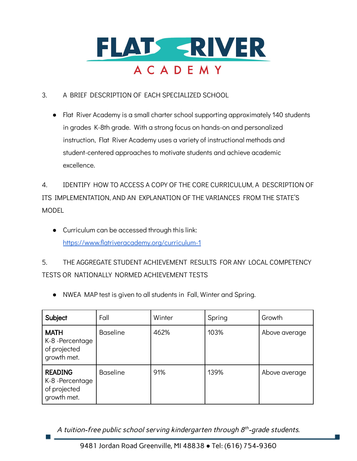

# 3. A BRIEF DESCRIPTION OF EACH SPECIALIZED SCHOOL

● Flat River Academy is a small charter school supporting approximately 140 students in grades K-8th grade. With a strong focus on hands-on and personalized instruction, Flat River Academy uses a variety of instructional methods and student-centered approaches to motivate students and achieve academic excellence.

4. IDENTIFY HOW TO ACCESS A COPY OF THE CORE CURRICULUM, A DESCRIPTION OF ITS IMPLEMENTATION, AND AN EXPLANATION OF THE VARIANCES FROM THE STATE'S MODEL

● Curriculum can be accessed through this link: <https://www.flatriveracademy.org/curriculum-1>

5. THE AGGREGATE STUDENT ACHIEVEMENT RESULTS FOR ANY LOCAL COMPETENCY TESTS OR NATIONALLY NORMED ACHIEVEMENT TESTS

● NWEA MAP test is given to all students in Fall, Winter and Spring.

| Subject                                                         | Fall            | Winter | Spring | Growth        |
|-----------------------------------------------------------------|-----------------|--------|--------|---------------|
| <b>MATH</b><br>K-8-Percentage<br>of projected<br>growth met.    | <b>Baseline</b> | 462%   | 103%   | Above average |
| <b>READING</b><br>K-8-Percentage<br>of projected<br>growth met. | <b>Baseline</b> | 91%    | 139%   | Above average |